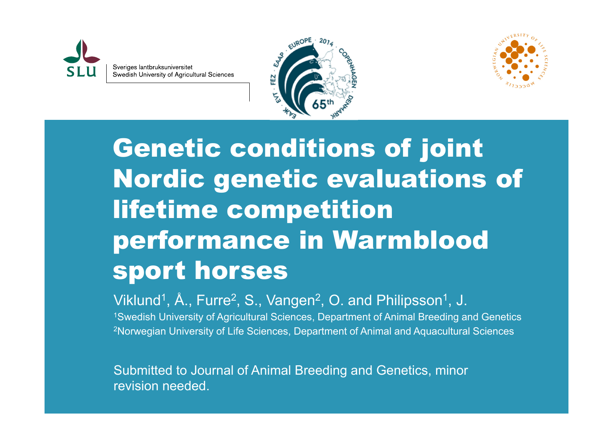





Genetic conditions of joint Nordic genetic evaluations of lifetime competition performance in Warmblood sport horses

Viklund<sup>1</sup>, Å., Furre<sup>2</sup>, S., Vangen<sup>2</sup>, O. and Philipsson<sup>1</sup>, J.<br><sup>1</sup>Swedish University of Agricultural Sciences, Department of Animal Breeding and Genetics <sup>2</sup>Norwegian University of Life Sciences, Department of Animal and Aquacultural Sciences

Submitted to Journal of Animal Breeding and Genetics, minor revision needed.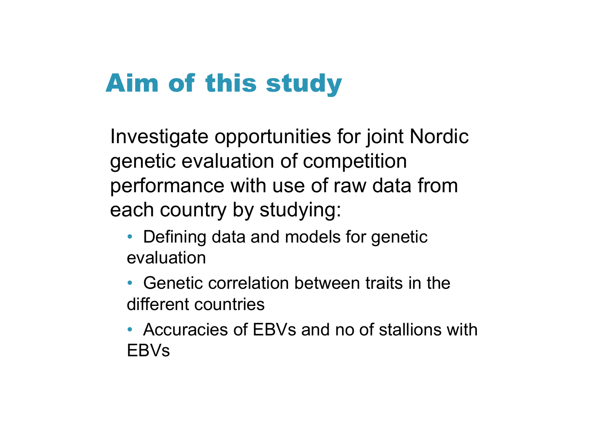## Aim of this study

Investigate opportunities for joint Nordic genetic evaluation of competition performance with use of raw data from each country by studying:

- Defining data and models for genetic evaluation
- Genetic correlation between traits in the different countries
- Accuracies of EBVs and no of stallions withEBVs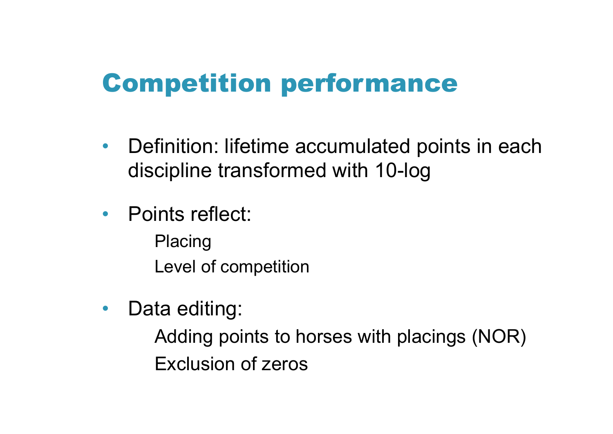### Competition performance

- $\bullet$  Definition: lifetime accumulated points in each discipline transformed with 10-log
- Points reflect:
	- Placing Level of competition
- $\bullet$ Data editing:

Adding points to horses with placings (NOR) Exclusion of zeros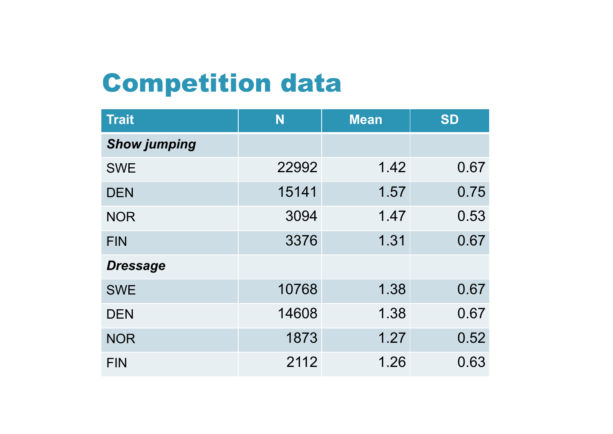# Competition data

| <b>Trait</b>        | N     | <b>Mean</b> | <b>SD</b> |
|---------------------|-------|-------------|-----------|
| <b>Show jumping</b> |       |             |           |
| <b>SWE</b>          | 22992 | 1.42        | 0.67      |
| <b>DEN</b>          | 15141 | 1.57        | 0.75      |
| <b>NOR</b>          | 3094  | 1.47        | 0.53      |
| <b>FIN</b>          | 3376  | 1.31        | 0.67      |
| <b>Dressage</b>     |       |             |           |
| <b>SWE</b>          | 10768 | 1.38        | 0.67      |
| <b>DEN</b>          | 14608 | 1.38        | 0.67      |
| <b>NOR</b>          | 1873  | 1.27        | 0.52      |
| <b>FIN</b>          | 2112  | 1.26        | 0.63      |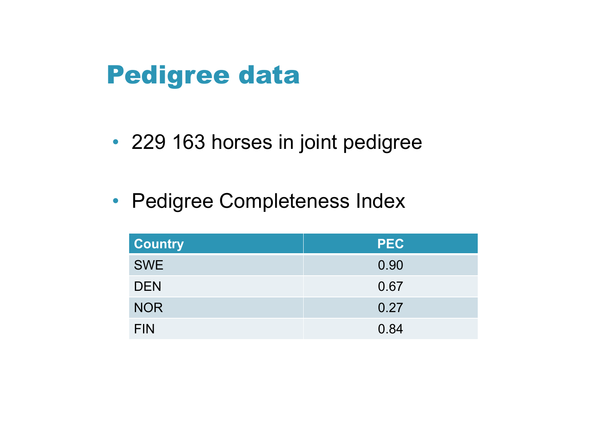#### Pedigree data

- 229 163 horses in joint pedigree
- Pedigree Completeness Index

| <b>Country</b> | <b>PEC</b> |
|----------------|------------|
| <b>SWE</b>     | 0.90       |
| <b>DEN</b>     | 0.67       |
| <b>NOR</b>     | 0.27       |
| <b>FIN</b>     | 0.84       |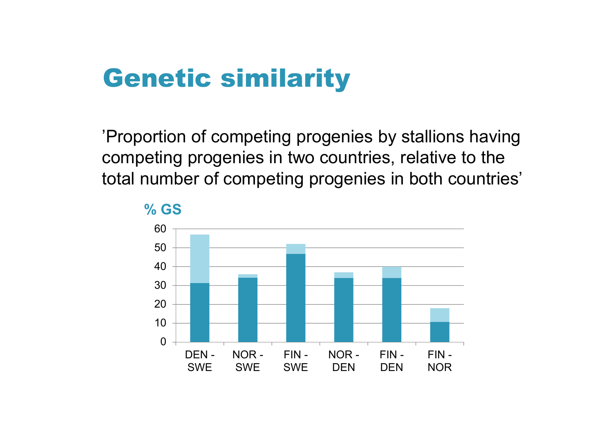#### Genetic similarity

'Proportion of competing progenies by stallions having competing progenies in two countries, relative to the total number of competing progenies in both countries'



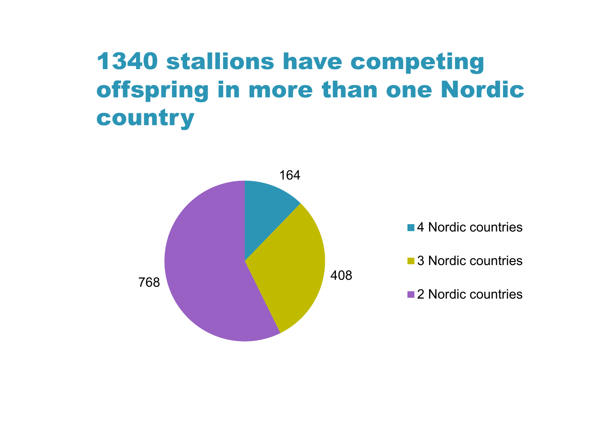#### 1340 stallions have competing offspring in more than one Nordic country

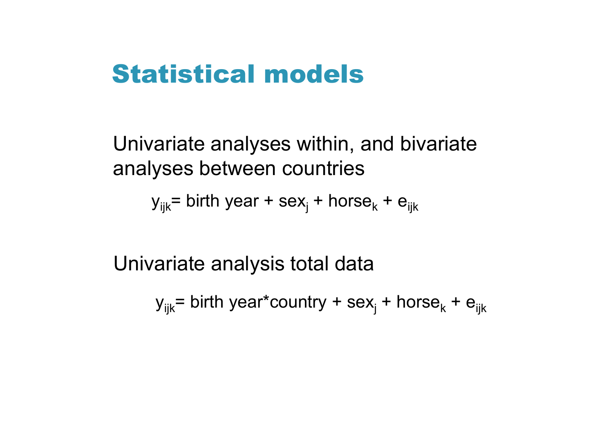#### Statistical models

Univariate analyses within, and bivariate analyses between countries

y<sub>ijk</sub>= birth year + sex<sub>j</sub> + horse<sub>k</sub> + e<sub>ijk</sub>

Univariate analysis total data

y<sub>ijk</sub>= birth year\*country + sex<sub>j</sub> + horse<sub>k</sub> + e<sub>ijk</sub>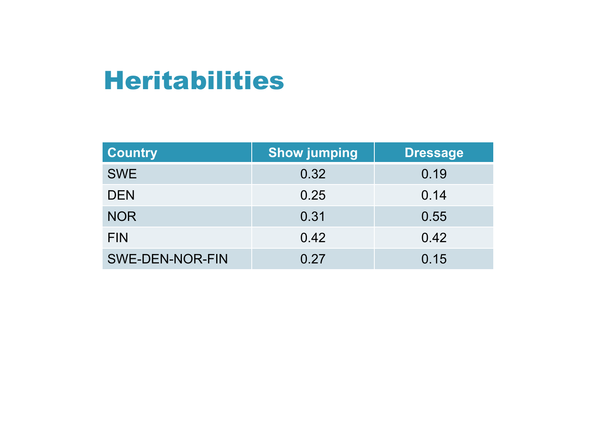#### Heritabilities

| <b>Country</b>         | <b>Show jumping</b> | <b>Dressage</b> |
|------------------------|---------------------|-----------------|
| <b>SWE</b>             | 0.32                | 0.19            |
| <b>DEN</b>             | 0.25                | 0.14            |
| <b>NOR</b>             | 0.31                | 0.55            |
| <b>FIN</b>             | 0.42                | 0.42            |
| <b>SWE-DEN-NOR-FIN</b> | 0.27                | 0.15            |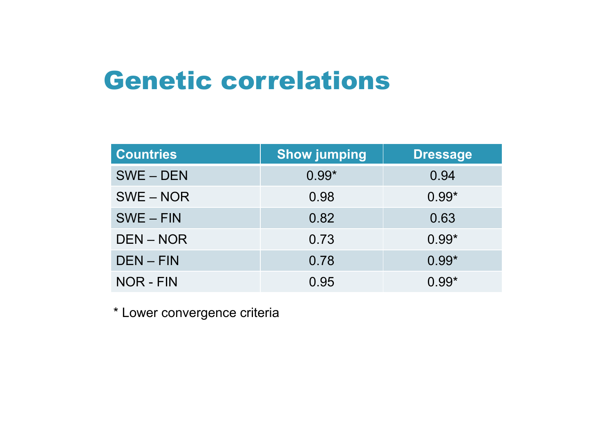#### Genetic correlations

| <b>Countries</b> | <b>Show jumping</b> | <b>Dressage</b> |
|------------------|---------------------|-----------------|
| SWE-DEN          | $0.99*$             | 0.94            |
| $SWE - NOR$      | 0.98                | $0.99*$         |
| $SWE - FIN$      | 0.82                | 0.63            |
| DEN-NOR          | 0.73                | $0.99*$         |
| $DEN - FIN$      | 0.78                | $0.99*$         |
| NOR - FIN        | 0.95                | $0.99*$         |

\* Lower convergence criteria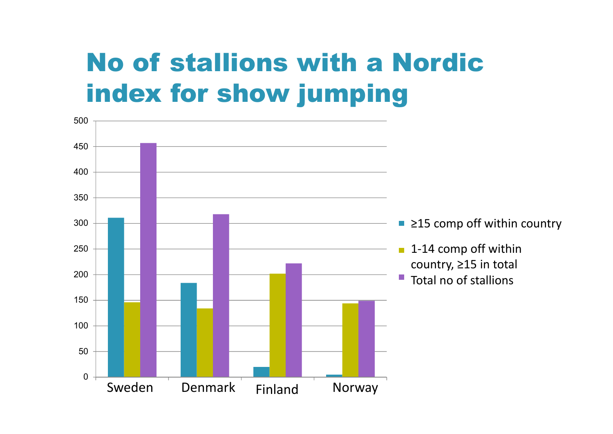# No of stallions with a Nordic index for show jumping

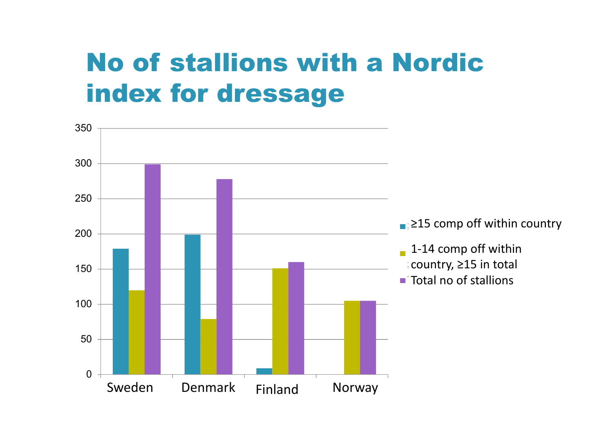# No of stallions with a Nordic index for dressage

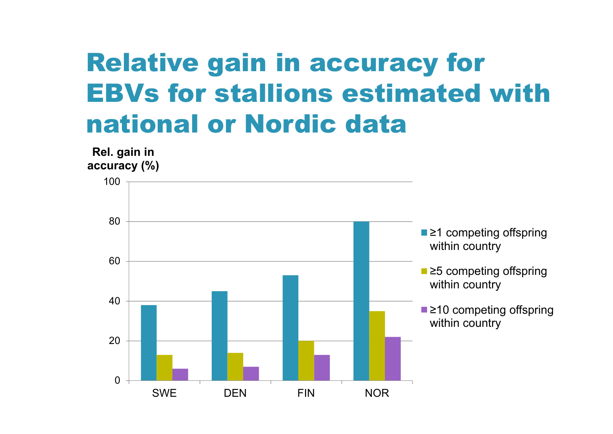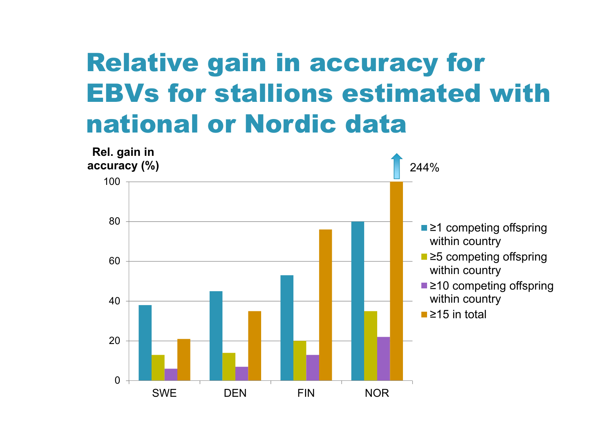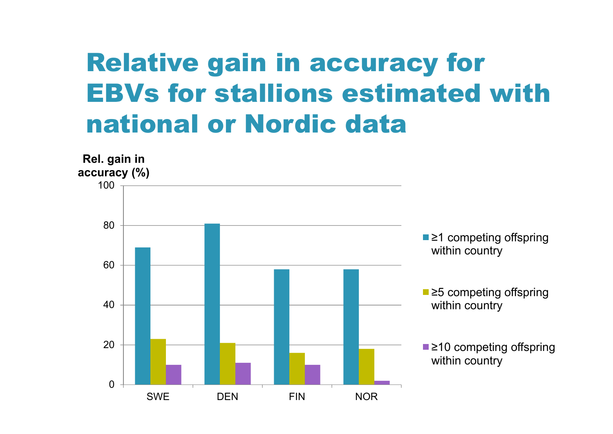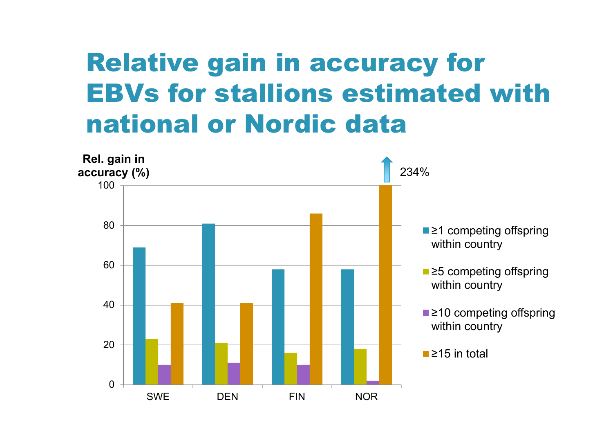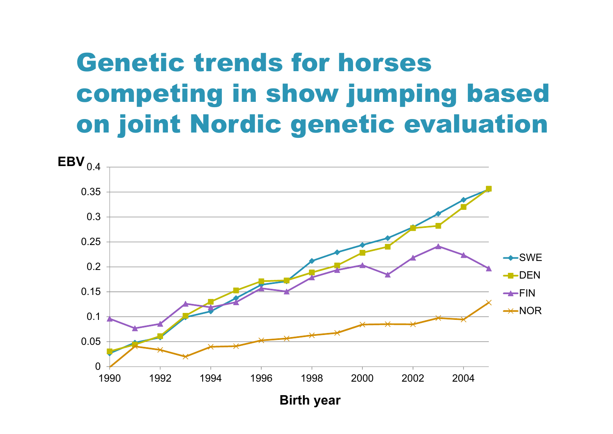## Genetic trends for horses competing in show jumping based on joint Nordic genetic evaluation

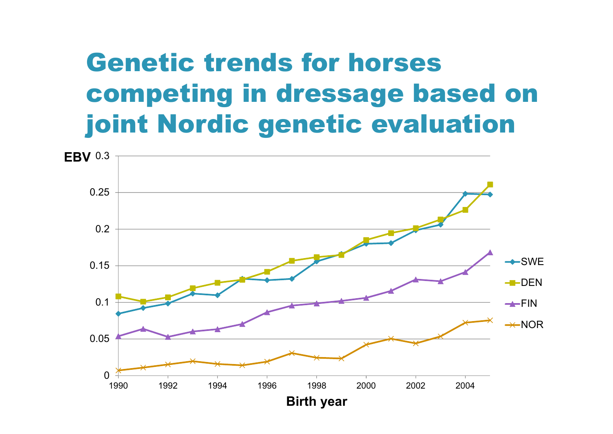## Genetic trends for horses competing in dressage based on joint Nordic genetic evaluation

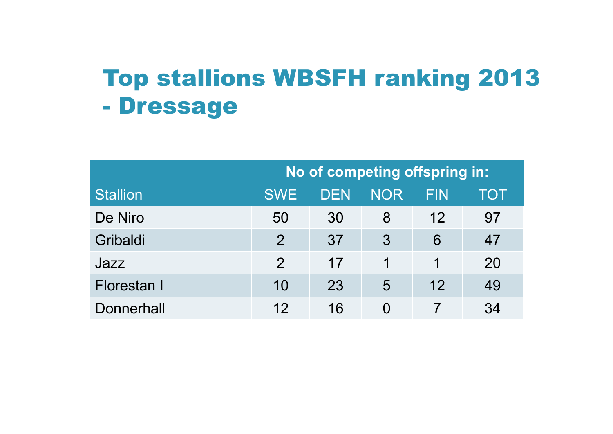#### Top stallions WBSFH ranking 2013 **-**Dressage

|                   | No of competing offspring in: |     |            |     |     |
|-------------------|-------------------------------|-----|------------|-----|-----|
| <b>Stallion</b>   | <b>SWE</b>                    | DEN | <b>NOR</b> | FIN | TOT |
| De Niro           | 50                            | 30  | 8          | 12  | 97  |
| Gribaldi          | $\mathcal{P}$                 | 37  | 3          | 6   | 47  |
| Jazz              | $\overline{2}$                | 17  | 1          | 1   | 20  |
| Florestan I       | 10                            | 23  | 5          | 12  | 49  |
| <b>Donnerhall</b> | 12                            | 16  | $\Omega$   |     | 34  |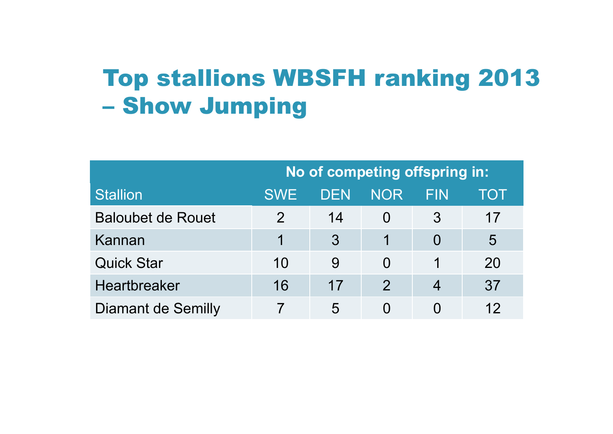#### Top stallions WBSFH ranking 2013  $\mathcal{L}_{\mathcal{A}}$ Show Jumping

|                           | No of competing offspring in: |     |               |                          |     |
|---------------------------|-------------------------------|-----|---------------|--------------------------|-----|
| <b>Stallion</b>           | <b>SWE</b>                    | DEN | <b>NOR</b>    | FIN                      | TOT |
| <b>Baloubet de Rouet</b>  | $\mathcal{P}$                 | 14  |               | 3                        | 17  |
| Kannan                    |                               | 3   |               | $\Omega$                 | 5   |
| <b>Quick Star</b>         | 10                            | 9   | $\Omega$      |                          | 20  |
| Heartbreaker              | 16                            | 17  | $\mathcal{P}$ | $\overline{\mathcal{A}}$ | 37  |
| <b>Diamant de Semilly</b> |                               | 5   |               |                          | 12  |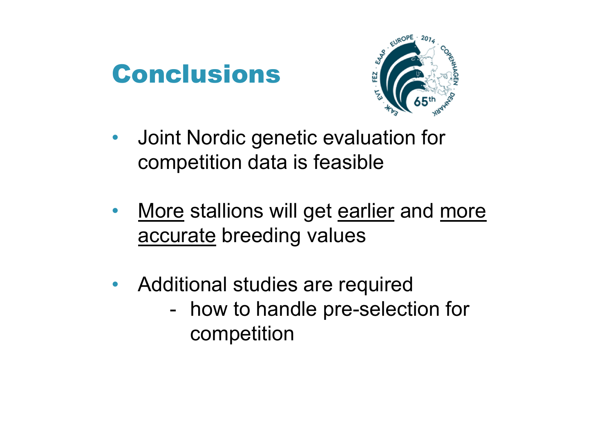#### Conclusions



- $\bullet$  Joint Nordic genetic evaluation for competition data is feasible
- $\bullet$  More stallions will get earlier and more accurate breeding values
- $\bullet$  Additional studies are required how to handle pre-selection for competition